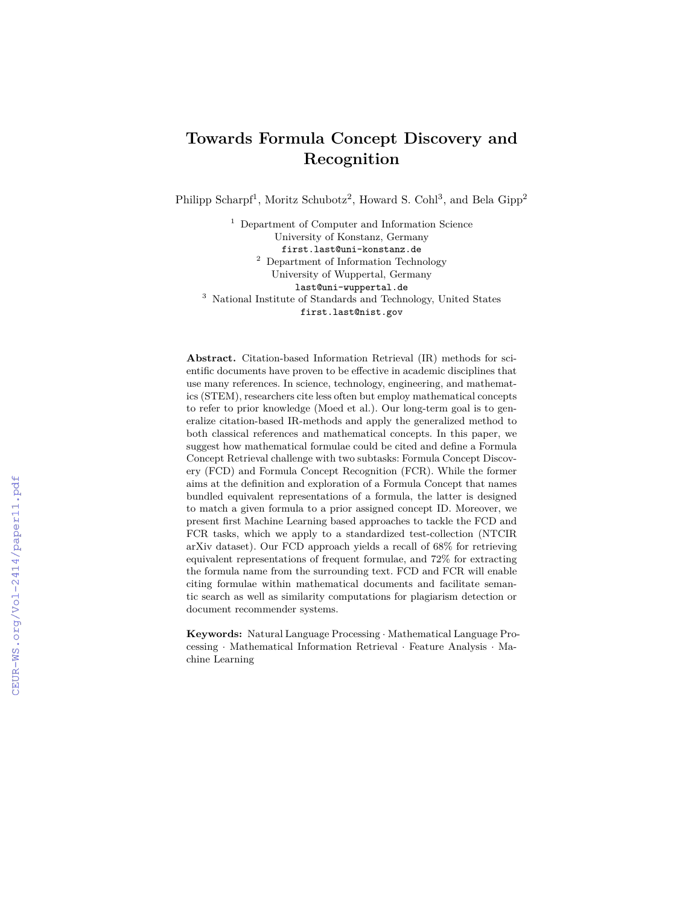# **Towards Formula Concept Discovery and Recognition**

Philipp Scharpf<sup>1</sup>, Moritz Schubotz<sup>2</sup>, Howard S. Cohl<sup>3</sup>, and Bela Gipp<sup>2</sup>

<sup>1</sup> Department of Computer and Information Science University of Konstanz, Germany first.last@uni-konstanz.de <sup>2</sup> Department of Information Technology University of Wuppertal, Germany last@uni-wuppertal.de <sup>3</sup> National Institute of Standards and Technology, United States first.last@nist.gov

**Abstract.** Citation-based Information Retrieval (IR) methods for scientific documents have proven to be effective in academic disciplines that use many references. In science, technology, engineering, and mathematics (STEM), researchers cite less often but employ mathematical concepts to refer to prior knowledge (Moed et al.). Our long-term goal is to generalize citation-based IR-methods and apply the generalized method to both classical references and mathematical concepts. In this paper, we suggest how mathematical formulae could be cited and define a Formula Concept Retrieval challenge with two subtasks: Formula Concept Discovery (FCD) and Formula Concept Recognition (FCR). While the former aims at the definition and exploration of a Formula Concept that names bundled equivalent representations of a formula, the latter is designed to match a given formula to a prior assigned concept ID. Moreover, we present first Machine Learning based approaches to tackle the FCD and FCR tasks, which we apply to a standardized test-collection (NTCIR arXiv dataset). Our FCD approach yields a recall of 68% for retrieving equivalent representations of frequent formulae, and 72% for extracting the formula name from the surrounding text. FCD and FCR will enable citing formulae within mathematical documents and facilitate semantic search as well as similarity computations for plagiarism detection or document recommender systems.

**Keywords:** Natural Language Processing · Mathematical Language Processing · Mathematical Information Retrieval · Feature Analysis · Machine Learning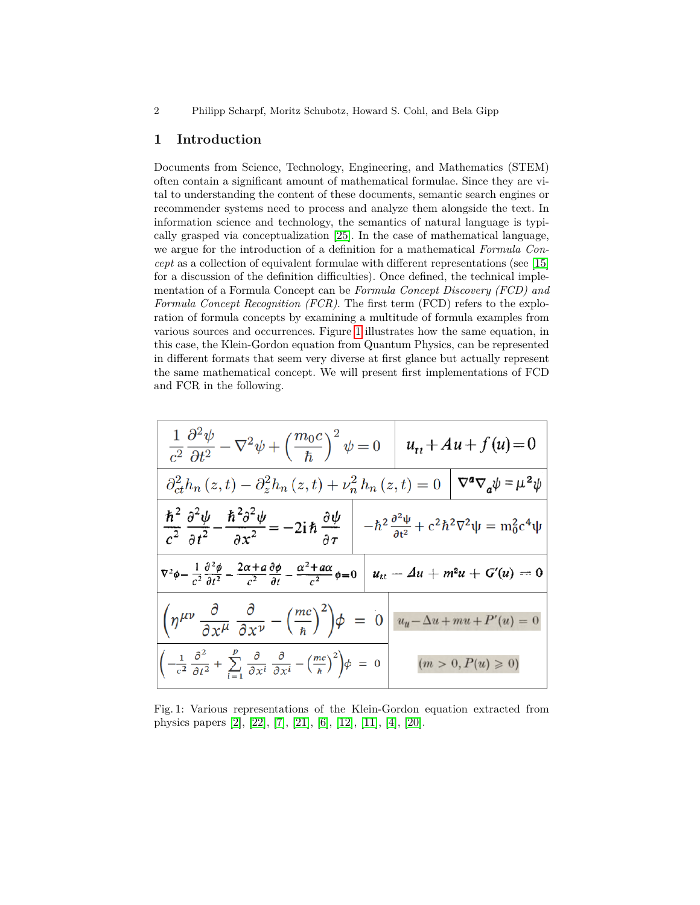2 Philipp Scharpf, Moritz Schubotz, Howard S. Cohl, and Bela Gipp

#### **1 Introduction**

Documents from Science, Technology, Engineering, and Mathematics (STEM) often contain a significant amount of mathematical formulae. Since they are vital to understanding the content of these documents, semantic search engines or recommender systems need to process and analyze them alongside the text. In information science and technology, the semantics of natural language is typically grasped via conceptualization [\[25\]](#page-7-0). In the case of mathematical language, we argue for the introduction of a definition for a mathematical *Formula Concept* as a collection of equivalent formulae with different representations (see [\[15\]](#page-6-0) for a discussion of the definition difficulties). Once defined, the technical implementation of a Formula Concept can be *Formula Concept Discovery (FCD) and Formula Concept Recognition (FCR)*. The first term (FCD) refers to the exploration of formula concepts by examining a multitude of formula examples from various sources and occurrences. Figure [1](#page-1-0) illustrates how the same equation, in this case, the Klein-Gordon equation from Quantum Physics, can be represented in different formats that seem very diverse at first glance but actually represent the same mathematical concept. We will present first implementations of FCD and FCR in the following.

<span id="page-1-0"></span>

| $\frac{1}{c^2} \frac{\partial^2 \psi}{\partial t^2} - \nabla^2 \psi + \left(\frac{m_0 c}{\hbar}\right)^2 \psi = 0 \quad u_{tt} + Au + f(u) = 0$                                                                                                             |  |                       |  |
|-------------------------------------------------------------------------------------------------------------------------------------------------------------------------------------------------------------------------------------------------------------|--|-----------------------|--|
| $\partial_{ct}^2 h_n(z,t) - \partial_z^2 h_n(z,t) + \nu_n^2 h_n(z,t) = 0 \mid \nabla^a \nabla_a \psi = \mu^2 \psi$                                                                                                                                          |  |                       |  |
| $\frac{\hbar^2}{c^2} \frac{\partial^2 \psi}{\partial t^2} - \frac{\hbar^2 \partial^2 \psi}{\partial x^2} = -2i \hbar \frac{\partial \psi}{\partial \tau} \Bigg[ -\hbar^2 \frac{\partial^2 \psi}{\partial t^2} + c^2 \hbar^2 \nabla^2 \psi = m_0^2 c^4 \psi$ |  |                       |  |
| $\nabla^2 \phi - \frac{1}{c^2} \frac{\partial^2 \phi}{\partial t^2} - \frac{2\alpha + a}{c^2} \frac{\partial \phi}{\partial t} - \frac{\alpha^2 + a\alpha}{c^2} \phi = 0 \left  u_{tt} - \Delta u + m^2 u + G'(u) \right  = 0$                              |  |                       |  |
| $\left(\eta^{\mu\nu} \frac{\partial}{\partial x^{\mu}} \frac{\partial}{\partial x^{\nu}} - \left(\frac{mc}{\hbar}\right)^{2}\right)\phi = 0 \left  u_{u} - \Delta u + mu + P'(u) = 0 \right $                                                               |  |                       |  |
| $\left  \left( -\frac{1}{c^2} \frac{\partial^2}{\partial t^2} + \sum_{i=1}^{\nu} \frac{\partial}{\partial x^i} \frac{\partial}{\partial x^i} - \left( \frac{mc}{\hbar} \right)^2 \right) \phi \right  = 0$                                                  |  | $(m > 0, P(u) \ge 0)$ |  |

Fig. 1: Various representations of the Klein-Gordon equation extracted from physics papers [\[2\]](#page-6-1), [\[22\]](#page-7-1), [\[7\]](#page-6-2), [\[21\]](#page-7-2), [\[6\]](#page-6-3), [\[12\]](#page-6-4), [\[11\]](#page-6-5), [\[4\]](#page-6-6), [\[20\]](#page-7-3).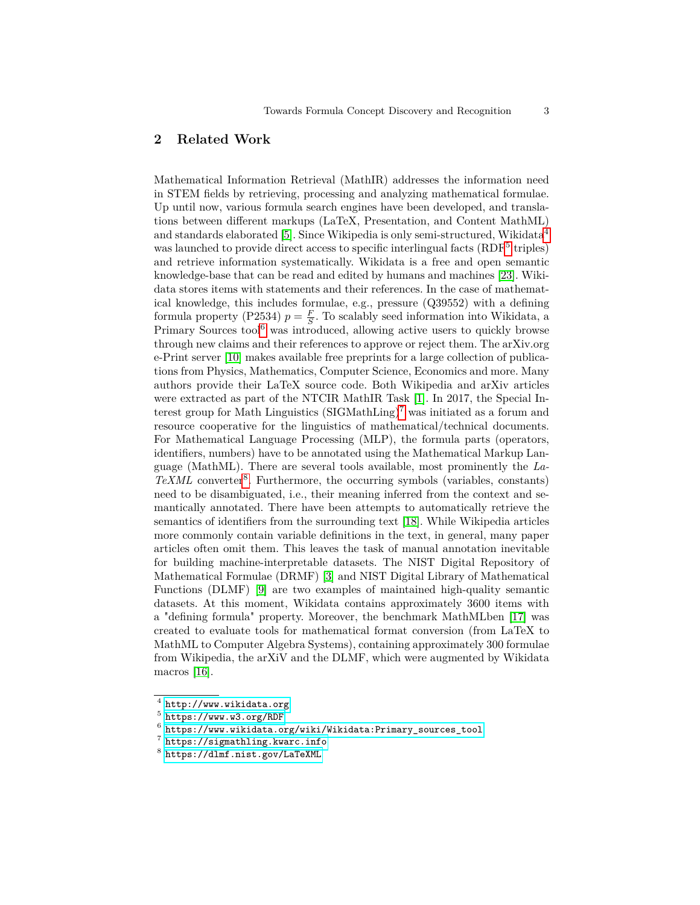# **2 Related Work**

Mathematical Information Retrieval (MathIR) addresses the information need in STEM fields by retrieving, processing and analyzing mathematical formulae. Up until now, various formula search engines have been developed, and translations between different markups (LaTeX, Presentation, and Content MathML) and standards elaborated [\[5\]](#page-6-7). Since Wikipedia is only semi-structured, Wikidata<sup>[4](#page-2-0)</sup> was launched to provide direct access to specific interlingual facts (RDF<sup>[5](#page-2-1)</sup> triples) and retrieve information systematically. Wikidata is a free and open semantic knowledge-base that can be read and edited by humans and machines [\[23\]](#page-7-4). Wikidata stores items with statements and their references. In the case of mathematical knowledge, this includes formulae, e.g., pressure (Q39552) with a defining formula property (P2534)  $p = \frac{F}{S}$ . To scalably seed information into Wikidata, a Primary Sources tool<sup>[6](#page-2-2)</sup> was introduced, allowing active users to quickly browse through new claims and their references to approve or reject them. The arXiv.org e-Print server [\[10\]](#page-6-8) makes available free preprints for a large collection of publications from Physics, Mathematics, Computer Science, Economics and more. Many authors provide their LaTeX source code. Both Wikipedia and arXiv articles were extracted as part of the NTCIR MathIR Task [\[1\]](#page-6-9). In 2017, the Special Interest group for Math Linguistics  $(SIGMathLing)^7$  $(SIGMathLing)^7$  was initiated as a forum and resource cooperative for the linguistics of mathematical/technical documents. For Mathematical Language Processing (MLP), the formula parts (operators, identifiers, numbers) have to be annotated using the Mathematical Markup Language (MathML). There are several tools available, most prominently the *La-*TeXML converter<sup>[8](#page-2-4)</sup>. Furthermore, the occurring symbols (variables, constants) need to be disambiguated, i.e., their meaning inferred from the context and semantically annotated. There have been attempts to automatically retrieve the semantics of identifiers from the surrounding text [\[18\]](#page-6-10). While Wikipedia articles more commonly contain variable definitions in the text, in general, many paper articles often omit them. This leaves the task of manual annotation inevitable for building machine-interpretable datasets. The NIST Digital Repository of Mathematical Formulae (DRMF) [\[3\]](#page-6-11) and NIST Digital Library of Mathematical Functions (DLMF) [\[9\]](#page-6-12) are two examples of maintained high-quality semantic datasets. At this moment, Wikidata contains approximately 3600 items with a "defining formula" property. Moreover, the benchmark MathMLben [\[17\]](#page-6-13) was created to evaluate tools for mathematical format conversion (from LaTeX to MathML to Computer Algebra Systems), containing approximately 300 formulae from Wikipedia, the arXiV and the DLMF, which were augmented by Wikidata macros [\[16\]](#page-6-14).

<span id="page-2-0"></span> $^4$  <http://www.wikidata.org>

<span id="page-2-1"></span><sup>5</sup> <https://www.w3.org/RDF>

<span id="page-2-2"></span> $^6$  [https://www.wikidata.org/wiki/Wikidata:Primary\\_sources\\_tool](https://www.wikidata.org/wiki/Wikidata:Primary_sources_tool)

<span id="page-2-3"></span><sup>7</sup> <https://sigmathling.kwarc.info>

<span id="page-2-4"></span> $^8$  <https://dlmf.nist.gov/LaTeXML>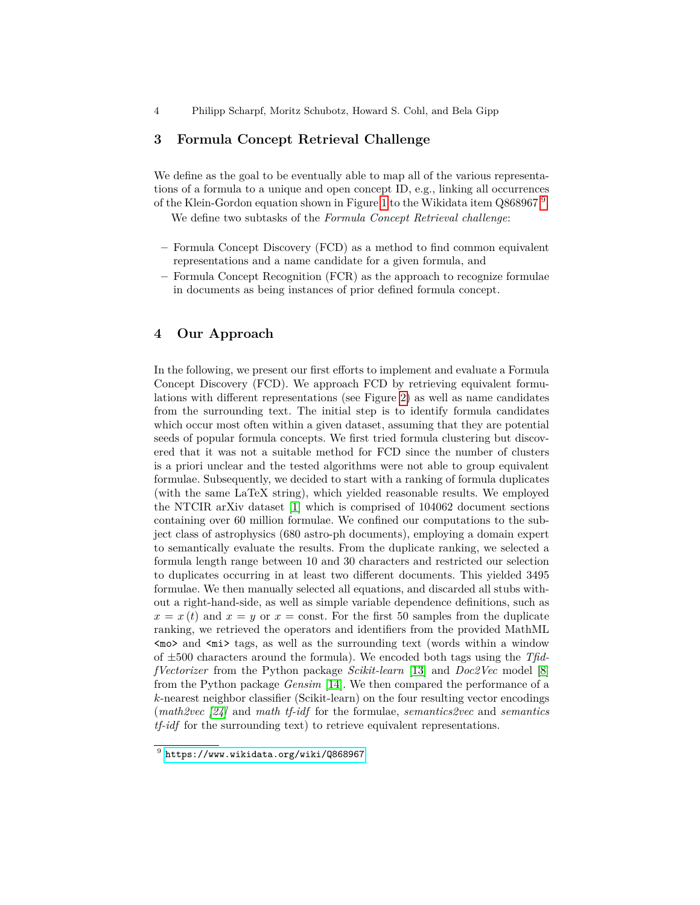4 Philipp Scharpf, Moritz Schubotz, Howard S. Cohl, and Bela Gipp

## **3 Formula Concept Retrieval Challenge**

We define as the goal to be eventually able to map all of the various representations of a formula to a unique and open concept ID, e.g., linking all occurrences of the Klein-Gordon equation shown in Figure [1](#page-1-0) to the Wikidata item Q868[9](#page-3-0)67<sup>9</sup>.

We define two subtasks of the *Formula Concept Retrieval challenge*:

- **–** Formula Concept Discovery (FCD) as a method to find common equivalent representations and a name candidate for a given formula, and
- **–** Formula Concept Recognition (FCR) as the approach to recognize formulae in documents as being instances of prior defined formula concept.

# **4 Our Approach**

In the following, we present our first efforts to implement and evaluate a Formula Concept Discovery (FCD). We approach FCD by retrieving equivalent formulations with different representations (see Figure [2\)](#page-4-0) as well as name candidates from the surrounding text. The initial step is to identify formula candidates which occur most often within a given dataset, assuming that they are potential seeds of popular formula concepts. We first tried formula clustering but discovered that it was not a suitable method for FCD since the number of clusters is a priori unclear and the tested algorithms were not able to group equivalent formulae. Subsequently, we decided to start with a ranking of formula duplicates (with the same LaTeX string), which yielded reasonable results. We employed the NTCIR arXiv dataset [\[1\]](#page-6-9) which is comprised of 104062 document sections containing over 60 million formulae. We confined our computations to the subject class of astrophysics (680 astro-ph documents), employing a domain expert to semantically evaluate the results. From the duplicate ranking, we selected a formula length range between 10 and 30 characters and restricted our selection to duplicates occurring in at least two different documents. This yielded 3495 formulae. We then manually selected all equations, and discarded all stubs without a right-hand-side, as well as simple variable dependence definitions, such as  $x = x(t)$  and  $x = y$  or  $x =$  const. For the first 50 samples from the duplicate ranking, we retrieved the operators and identifiers from the provided MathML  $\langle \text{mod} \rangle$  and  $\langle \text{min} \rangle$  tags, as well as the surrounding text (words within a window of ±500 characters around the formula). We encoded both tags using the *TfidfVectorizer* from the Python package *Scikit-learn* [\[13\]](#page-6-15) and *Doc2Vec* model [\[8\]](#page-6-16) from the Python package *Gensim* [\[14\]](#page-6-17). We then compared the performance of a *k*-nearest neighbor classifier (Scikit-learn) on the four resulting vector encodings (*math2vec [\[24\]](#page-7-5)* and *math tf-idf* for the formulae, *semantics2vec* and *semantics tf-idf* for the surrounding text) to retrieve equivalent representations.

<span id="page-3-0"></span> $^9$  <https://www.wikidata.org/wiki/Q868967>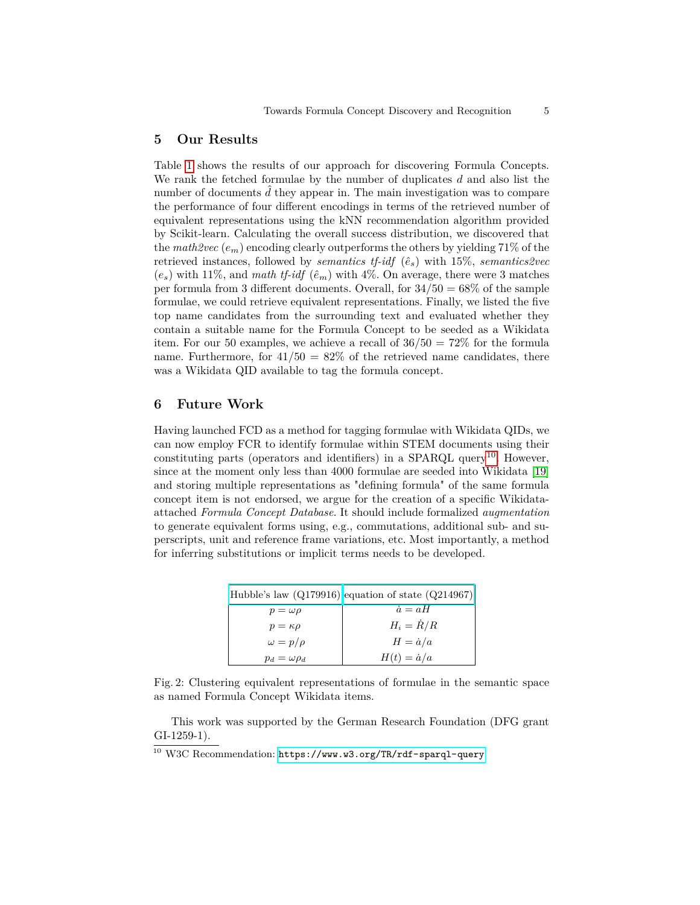#### **5 Our Results**

Table [1](#page-5-0) shows the results of our approach for discovering Formula Concepts. We rank the fetched formulae by the number of duplicates *d* and also list the number of documents d they appear in. The main investigation was to compare the performance of four different encodings in terms of the retrieved number of equivalent representations using the kNN recommendation algorithm provided by Scikit-learn. Calculating the overall success distribution, we discovered that the *math2vec* (*em*) encoding clearly outperforms the others by yielding 71% of the retrieved instances, followed by *semantics tf-idf*  $(\hat{e}_s)$  with 15%, *semantics2vec*  $(e_s)$  with 11%, and *math tf-idf*  $(\hat{e}_m)$  with 4%. On average, there were 3 matches per formula from 3 different documents. Overall, for  $34/50 = 68\%$  of the sample formulae, we could retrieve equivalent representations. Finally, we listed the five top name candidates from the surrounding text and evaluated whether they contain a suitable name for the Formula Concept to be seeded as a Wikidata item. For our 50 examples, we achieve a recall of  $36/50 = 72\%$  for the formula name. Furthermore, for  $41/50 = 82\%$  of the retrieved name candidates, there was a Wikidata QID available to tag the formula concept.

## **6 Future Work**

Having launched FCD as a method for tagging formulae with Wikidata QIDs, we can now employ FCR to identify formulae within STEM documents using their constituting parts (operators and identifiers) in a SPARQL query<sup>[10](#page-4-1)</sup>. However, since at the moment only less than 4000 formulae are seeded into Wikidata [\[19\]](#page-7-6) and storing multiple representations as "defining formula" of the same formula concept item is not endorsed, we argue for the creation of a specific Wikidataattached *Formula Concept Database*. It should include formalized *augmentation* to generate equivalent forms using, e.g., commutations, additional sub- and superscripts, unit and reference frame variations, etc. Most importantly, a method for inferring substitutions or implicit terms needs to be developed.

<span id="page-4-0"></span>

|                       | $ Hubble's law (Q179916) $ equation of state $(Q214967) $ |
|-----------------------|-----------------------------------------------------------|
| $p = \omega \rho$     | $\dot{a} = aH$                                            |
| $p = \kappa \rho$     | $H_i = \dot{R}/R$                                         |
| $\omega = p/\rho$     | $H = \dot{a}/a$                                           |
| $p_d = \omega \rho_d$ | $H(t) = \dot{a}/a$                                        |

Fig. 2: Clustering equivalent representations of formulae in the semantic space as named Formula Concept Wikidata items.

This work was supported by the German Research Foundation (DFG grant GI-1259-1).

<span id="page-4-1"></span><sup>10</sup> W3C Recommendation: <https://www.w3.org/TR/rdf-sparql-query>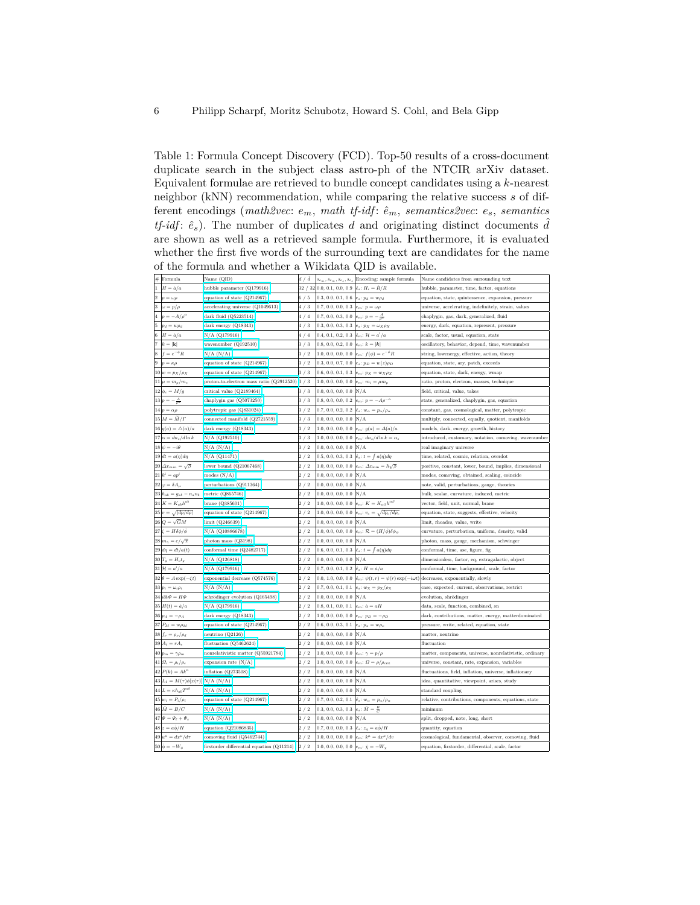<span id="page-5-0"></span>Table 1: Formula Concept Discovery (FCD). Top-50 results of a cross-document duplicate search in the subject class astro-ph of the NTCIR arXiv dataset. Equivalent formulae are retrieved to bundle concept candidates using a *k*-nearest neighbor (kNN) recommendation, while comparing the relative success *s* of different encodings (*math2vec*: *em*, *math tf-idf* : *e*ˆ*m*, *semantics2vec*: *es*, *semantics tf-idf*:  $\hat{e}_s$ ). The number of duplicates *d* and originating distinct documents  $\hat{d}$ are shown as well as a retrieved sample formula. Furthermore, it is evaluated whether the first five words of the surrounding text are candidates for the name of the formula and whether a Wikidata QID is available.

|                | $#$ Formula                                   | Name (QID)                                       | d / d |                                                                        | $\left s_{e_m}, s_{e_m}, s_{e_s}, s_{e_s}\right $ Encoding: sample formula | Name candidates from surrounding text                   |
|----------------|-----------------------------------------------|--------------------------------------------------|-------|------------------------------------------------------------------------|----------------------------------------------------------------------------|---------------------------------------------------------|
| $\overline{1}$ | $H = \dot{a}/a$                               | hubble parameter (Q179916)                       |       | 32 / 32 0.0, 0.1, 0.0, 0.9 $ \hat{e}_s: H_i = \dot{R}/R$               |                                                                            | hubble, parameter, time, factor, equations              |
|                | 2 $ p = \omega \rho$                          | equation of state (Q214967)                      | 6/5   | 0.3, 0.0, 0.1, 0.6 $e_s$ : $p_d = w \rho_d$                            |                                                                            | equation, state, quintessence, expansion, pressure      |
|                | 3 $\omega = p/\rho$                           | accelerating universe (Q1049613)                 | 4/3   | 0.7, 0.0, 0.0, 0.3 $e_m: p = \omega \rho$                              |                                                                            | universe, accelerating, indefinitely, strain, values    |
|                | 4 $p = -A/\rho^{\alpha}$                      | dark fluid (Q5223514)                            | 4/4   | 0.7, 0.0, 0.3, 0.0 $e_m: p = -\frac{A}{a^2}$                           |                                                                            | chaplygin, gas, dark, generalized, fluid                |
|                | 5 $p_d = w \rho_d$                            | dark energy (Q18343)                             | 4/3   | 0.3, 0.0, 0.3, 0.3 $e_s: p_X = \omega_X \rho_X$                        |                                                                            | energy, dark, equation, represent, pressure             |
|                | 6 $H = \dot{a}/a$                             | N/A (Q179916)                                    | 4/4   | 0.4, 0.1, 0.2, 0.3 $ \hat{e}_m: \mathcal{H} = a'/a$                    |                                                                            | scale, factor, usual, equation, state                   |
|                | 7 $k =  \mathbf{k} $                          | wavenumber (Q192510)                             | 3/3   | 0.8, 0.0, 0.2, 0.0 $ e_m: k =  \mathbf{k} $                            |                                                                            | oscillatory, behavior, depend, time, wavenumber         |
|                | $8 \mid f = e^{-\phi}R$                       | $N/A$ $(N/A)$                                    | 3/2   |                                                                        | 1.0, 0.0, 0.0, 0.0 $e_m: f(\phi) = e^{-\phi} R$                            | string, lowenergy, effective, action, theory            |
|                | 9 $p = \kappa \rho$                           | equation of state (Q214967)                      | 3/2   | 0.3, 0.0, 0.7, 0.0 $e_s$ : $p_D = w(z)\rho_D$                          |                                                                            | equation, state, ary, patch, exceeds                    |
|                | $10\, w=p_X/\rho_X$                           | equation of state (Q214967)                      | 3/3   | 0.6, 0.0, 0.1, 0.3 $e_m: p_X = w_X \rho_X$                             |                                                                            | equation, state, dark, energy, wmap                     |
|                | $11 \vert \mu = m_p / m_e$                    | proton-to-electron mass ratio $(Q2912520)$ 3 / 3 |       | 1.0, 0.0, 0.0, 0.0 $e_m$ : $m_i = \mu m_p$                             |                                                                            | ratio, proton, electron, masses, technique              |
|                | $12\left \phi_c=M/g\right.$                   | critical value (Q2189464)                        | 3/3   | $[0.0, 0.0, 0.0, 0.0]$ N/A                                             |                                                                            | field, critical, value, takes                           |
|                | $13 p=-\frac{A}{\rho^{\alpha}}$               | chaplygin gas (Q5073250)                         | 3/3   | 0.8, 0.0, 0.0, 0.2 $e_m: p = -A\rho^{-\alpha}$                         |                                                                            | state, generalized, chaplygin, gas, equation            |
|                | $14\vert p=\alpha\rho$                        | polytropic gas (Q831024)                         | 3/2   | 0.7, 0.0, 0.2, 0.2 $ \hat{e}_s: w_{\alpha} = p_{\alpha}/\rho_{\alpha}$ |                                                                            | constant, gas, cosmological, matter, polytropic         |
|                | $15\,M = \tilde M/\varGamma$                  | connected manifold (Q2721559)                    | 3/3   | $0.0, 0.0, 0.0, 0.0$ N/A                                               |                                                                            | multiply, connected, equally, quotient, manifolds       |
|                | $16 g(a) = \triangle(a)/a$                    | dark energy (Q18343)                             | 3/2   |                                                                        | 1.0, 0.0, 0.0, 0.0 $e_m: g(a) = \Delta(a)/a$                               | models, dark, energy, growth, history                   |
|                | $17 \alpha = dn_s/d\ln k$                     | N/A (Q192510)                                    | 3/3   |                                                                        | 1.0, 0.0, 0.0, 0.0 $e_m$ : $dn_s/d\ln k = \alpha_s$                        | introduced, customary, notation, comoving, wavenumber   |
|                | $18 \psi = -i\theta$                          | N/A (N/A)                                        | 3/2   | $0.0, 0.0, 0.0, 0.0$ N/A                                               |                                                                            | real imaginary universe                                 |
|                | $19\,dt = a(\eta)d\eta$                       | N/A (Q11471)                                     | 2/2   | 0.5, 0.0, 0.3, 0.3 $ \hat{e}_s: t = \int a(\eta) d\eta$                |                                                                            | time, related, cosmic, relation, overdot                |
|                | $20 \Delta x_{min} = \sqrt{\beta}$            | lower bound (Q21067468)                          | 2/2   |                                                                        | 1.0, 0.0, 0.0, 0.0 $e_m$ : $\Delta x_{\min} = \hbar \sqrt{\beta}$          | positive, constant, lower, bound, implies, dimensional  |
|                | $21 k^i = ap^i$                               | $\rm{modes}~(\rm{N/A})$                          | 2/2   | $[0.0, 0.0, 0.0, 0.0]$ N/A                                             |                                                                            | modes, comoving, obtained, scaling, coincide            |
|                | $22\varphi = \delta A_u$                      | perturbations (Q911364)                          | 2/2   | $0.0, 0.0, 0.0, 0.0 \vert N/A$                                         |                                                                            | note, valid, perturbations, gauge, theories             |
|                | $23 h_{ab}=g_{ab}-n_an_b$                     | metric (Q865746)                                 | 2/2   | $0.0, 0.0, 0.0, 0.0 \vert N/A$                                         |                                                                            | bulk, scalar, curvature, induced, metric                |
|                | $24K = K_{ab}h^{ab}$                          | brane (Q385601)                                  | 2/2   |                                                                        | 1.0, 0.0, 0.0, 0.0 $e_m: K = K_{\alpha\beta}h^{\alpha\beta}$               | vector, field, unit, normal, brane                      |
|                | $25\vert v = \sqrt{\vert dp/d\rho\vert}$      | equation of state (Q214967)                      | 2/2   |                                                                        | 1.0, 0.0, 0.0, 0.0 $e_m$ : $v_c = \sqrt{dp_c/d\rho_c}$                     | equation, state, suggests, effective, velocity          |
|                | $26 Q=\sqrt{G}M$                              | limit (Q246639)                                  | 2/2   | $0.0, 0.0, 0.0, 0.0 \vert N/A$                                         |                                                                            | limit, rhoades, value, write                            |
|                | $27 \Big  \zeta = H \delta \phi / \dot{\phi}$ | N/A (Q10886678)                                  | 2/2   |                                                                        | 1.0, 0.0, 0.0, 0.0 $e_m$ : $\mathcal{R} = (H/\dot{\phi})\delta\phi_\psi$   | curvature, perturbation, uniform, density, valid        |
|                | $28 \mid m_{\gamma} = e/\sqrt{\pi}$           | photon mass (Q3198)                              | 2/2   | $0.0, 0.0, 0.0, 0.0 \vert N/A$                                         |                                                                            | photon, mass, gauge, mechanism, schwinger               |
|                | $29\left d\eta=dt/a(t)\right.$                | conformal time (Q2482717)                        | 2/2   | 0.6, 0.0, 0.1, 0.3 $ \hat{e}_s: t = \int a(\eta) d\eta$                |                                                                            | conformal, time, ase, figure, fig                       |
|                | $30T_g = H_o t_g$                             | N/A (Q126818)                                    | 2/2   | $0.0, 0.0, 0.0, 0.0 \vert N/A$                                         |                                                                            | dimensionless, factor, eq, extragalactic, object        |
|                | $31\,\mathcal{H} = a'/a$                      | N/A (Q179916)                                    | 2/2   | 0.7, 0.0, 0.1, 0.2 $ \hat{e}_s: H = \hat{a}/a$                         |                                                                            | conformal, time, background, scale, factor              |
|                | $32\theta = A \exp(-\zeta t)$                 | exponential decrease (Q574576)                   | 2/2   |                                                                        | 0.0, 1.0, 0.0, 0.0 $\hat{e}_m$ : $\psi(t,r) = \psi(r) \exp(-i\omega t)$    | decreases, exponentially, slowly                        |
|                | 33 $p_i = \omega_i \rho_i$                    | N/A(N/A)                                         | 2/2   | 0.7, 0.0, 0.1, 0.1 $e_s$ : $w_X = p_X/\rho_X$                          |                                                                            | case, expected, current, observations, restrict         |
|                | 34 $i\partial_t \Phi = H\Phi$                 | schrödinger evolution (Q165498)                  | 2/2   | $[0.0, 0.0, 0.0, 0.0]$ N/A                                             |                                                                            | evolution, shrödinger                                   |
|                | 35 $H(t) = \dot{a}/a$                         | N/A (Q179916)                                    | 2/2   | 0.8, 0.1, 0.0, 0.1 $e_m$ : $\dot{a} = aH$                              |                                                                            | data, scale, function, combined, sn                     |
|                | $36 pA = -\rhoA$                              | dark energy (Q18343)                             | 2/2   | 1.0, 0.0, 0.0, 0.0 $e_m: p_D = -\rho_D$                                |                                                                            | dark, contributions, matter, energy, matterdominated    |
|                | $37\, \,P_M\,=\,w\rho_M$                      | equation of state (Q214967)                      | 2/2   | 0.6, 0.0, 0.3, 0.1 $e_s$ : $p_x = w \rho_x$                            |                                                                            | pressure, write, related, equation, state               |
|                | $38\left f_\nu=\rho_\nu/\rho_d\right.$        | neutrino (Q2126)                                 | 2/2   | $0.0, 0.0, 0.0, 0.0$ N/A                                               |                                                                            | matter, neutrino                                        |
|                | $39A_t = rA_s$                                | fluctuation (Q5462624)                           | 2/2   | $0.0, 0.0, 0.0, 0.0 \vert N/A$                                         |                                                                            | fluctuation                                             |
|                | $40\vert p_m = \gamma \rho_m$                 | nonrelativistic matter (Q55921784)               | 2/2   | 1.0, 0.0, 0.0, 0.0 $e_m: \gamma = p/\rho$                              |                                                                            | matter, components, universe, nonrelativistic, ordinary |
|                | $41 \Omega_i = \rho_i / \rho_c$               | expansion rate $(N/A)$                           | 2/2   | 1.0, 0.0, 0.0, 0.0 $e_m$ : $\Omega = \rho / \rho_{\rm crit}$           |                                                                            | universe, constant, rate, expansion, variables          |
|                | $42 P(k) = Ak^n$                              | inflation $(Q273508)$                            | 2/2   | $[0.0, 0.0, 0.0, 0.0]$ N/A                                             |                                                                            | fluctuations, field, inflation, universe, inflationary  |
|                | $43 L_I = M(\tau)\phi[x(\tau)]$               | N/A (N/A)                                        | 2/2   | $[0.0, 0.0, 0.0, 0.0]$ N/A                                             |                                                                            | idea, quantitative, viewpoint, arises, study            |
|                | $44L = \kappa h_{ab} T^{ab}$                  | $N/A$ $(N/A)$                                    | 2/2   | $0.0, 0.0, 0.0, 0.0$ N/A                                               |                                                                            | standard coupling                                       |
|                | 45 $w_i = P_i/\rho_i$                         | equation of state (Q214967)                      | 2/2   | 0.7, 0.0, 0.2, 0.1 $ \hat{e}_s: w_\alpha = p_\alpha/\rho_\alpha$       |                                                                            | relative, contributions, components, equations, state   |
|                | $46\overline{\dot{M}} = B/C$                  | N/A(N/A)                                         | 2/2   | 0.3, 0.0, 0.3, 0.3 $e_s$ : $\bar{M} = \frac{B}{C}$                     |                                                                            | minimum                                                 |
|                | $47 \Psi = \Psi_{\ell} + \Psi_{s}$            | N/A(N/A)                                         | 2/2   | $0.0, 0.0, 0.0, 0.0 \vert N/A$                                         |                                                                            | split, dropped, note, long, short                       |
|                | $48z = a\dot{\phi}/H$                         | equation (Q21086835)                             | 2/2   | 0.7, 0.0, 0.0, 0.3 $\hat{e}_s$ : $z_q = a\dot{\phi}/H$                 |                                                                            | quantity, equation                                      |
|                | $49 u^{\mu} = dx^{\mu}/d\tau$                 | comoving fluid (Q5462744)                        | 2/2   |                                                                        | 1.0, 0.0, 0.0, 0.0 $e_m$ : $k^{\mu} = dx^{\mu}/dv$                         | cosmological, fundamental, observer, comoving, fluid    |
|                | $50\dot{\phi} = -W_{\phi}$                    | firstorder differential equation (Q11214)        | 2/2   | 1.0, 0.0, 0.0, 0.0 $e_m$ : $\dot{\chi} = -W_{\chi}$                    |                                                                            | equation, firstorder, differential, scale, factor       |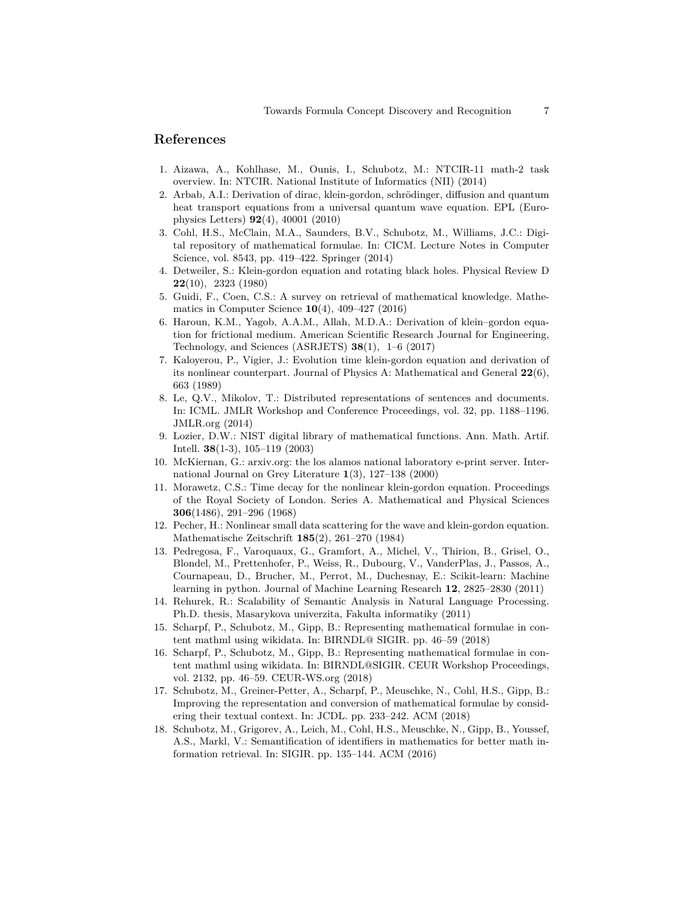### **References**

- <span id="page-6-9"></span>1. Aizawa, A., Kohlhase, M., Ounis, I., Schubotz, M.: NTCIR-11 math-2 task overview. In: NTCIR. National Institute of Informatics (NII) (2014)
- <span id="page-6-1"></span>2. Arbab, A.I.: Derivation of dirac, klein-gordon, schrödinger, diffusion and quantum heat transport equations from a universal quantum wave equation. EPL (Europhysics Letters) **92**(4), 40001 (2010)
- <span id="page-6-11"></span>3. Cohl, H.S., McClain, M.A., Saunders, B.V., Schubotz, M., Williams, J.C.: Digital repository of mathematical formulae. In: CICM. Lecture Notes in Computer Science, vol. 8543, pp. 419–422. Springer (2014)
- <span id="page-6-6"></span>4. Detweiler, S.: Klein-gordon equation and rotating black holes. Physical Review D **22**(10), 2323 (1980)
- <span id="page-6-7"></span>5. Guidi, F., Coen, C.S.: A survey on retrieval of mathematical knowledge. Mathematics in Computer Science **10**(4), 409–427 (2016)
- <span id="page-6-3"></span>6. Haroun, K.M., Yagob, A.A.M., Allah, M.D.A.: Derivation of klein–gordon equation for frictional medium. American Scientific Research Journal for Engineering, Technology, and Sciences (ASRJETS) **38**(1), 1–6 (2017)
- <span id="page-6-2"></span>7. Kaloyerou, P., Vigier, J.: Evolution time klein-gordon equation and derivation of its nonlinear counterpart. Journal of Physics A: Mathematical and General **22**(6), 663 (1989)
- <span id="page-6-16"></span>8. Le, Q.V., Mikolov, T.: Distributed representations of sentences and documents. In: ICML. JMLR Workshop and Conference Proceedings, vol. 32, pp. 1188–1196. JMLR.org (2014)
- <span id="page-6-12"></span>9. Lozier, D.W.: NIST digital library of mathematical functions. Ann. Math. Artif. Intell. **38**(1-3), 105–119 (2003)
- <span id="page-6-8"></span>10. McKiernan, G.: arxiv.org: the los alamos national laboratory e-print server. International Journal on Grey Literature **1**(3), 127–138 (2000)
- <span id="page-6-5"></span>11. Morawetz, C.S.: Time decay for the nonlinear klein-gordon equation. Proceedings of the Royal Society of London. Series A. Mathematical and Physical Sciences **306**(1486), 291–296 (1968)
- <span id="page-6-4"></span>12. Pecher, H.: Nonlinear small data scattering for the wave and klein-gordon equation. Mathematische Zeitschrift **185**(2), 261–270 (1984)
- <span id="page-6-15"></span>13. Pedregosa, F., Varoquaux, G., Gramfort, A., Michel, V., Thirion, B., Grisel, O., Blondel, M., Prettenhofer, P., Weiss, R., Dubourg, V., VanderPlas, J., Passos, A., Cournapeau, D., Brucher, M., Perrot, M., Duchesnay, E.: Scikit-learn: Machine learning in python. Journal of Machine Learning Research **12**, 2825–2830 (2011)
- <span id="page-6-17"></span>14. Rehurek, R.: Scalability of Semantic Analysis in Natural Language Processing. Ph.D. thesis, Masarykova univerzita, Fakulta informatiky (2011)
- <span id="page-6-0"></span>15. Scharpf, P., Schubotz, M., Gipp, B.: Representing mathematical formulae in content mathml using wikidata. In: BIRNDL@ SIGIR. pp. 46–59 (2018)
- <span id="page-6-14"></span>16. Scharpf, P., Schubotz, M., Gipp, B.: Representing mathematical formulae in content mathml using wikidata. In: BIRNDL@SIGIR. CEUR Workshop Proceedings, vol. 2132, pp. 46–59. CEUR-WS.org (2018)
- <span id="page-6-13"></span>17. Schubotz, M., Greiner-Petter, A., Scharpf, P., Meuschke, N., Cohl, H.S., Gipp, B.: Improving the representation and conversion of mathematical formulae by considering their textual context. In: JCDL. pp. 233–242. ACM (2018)
- <span id="page-6-10"></span>18. Schubotz, M., Grigorev, A., Leich, M., Cohl, H.S., Meuschke, N., Gipp, B., Youssef, A.S., Markl, V.: Semantification of identifiers in mathematics for better math information retrieval. In: SIGIR. pp. 135–144. ACM (2016)